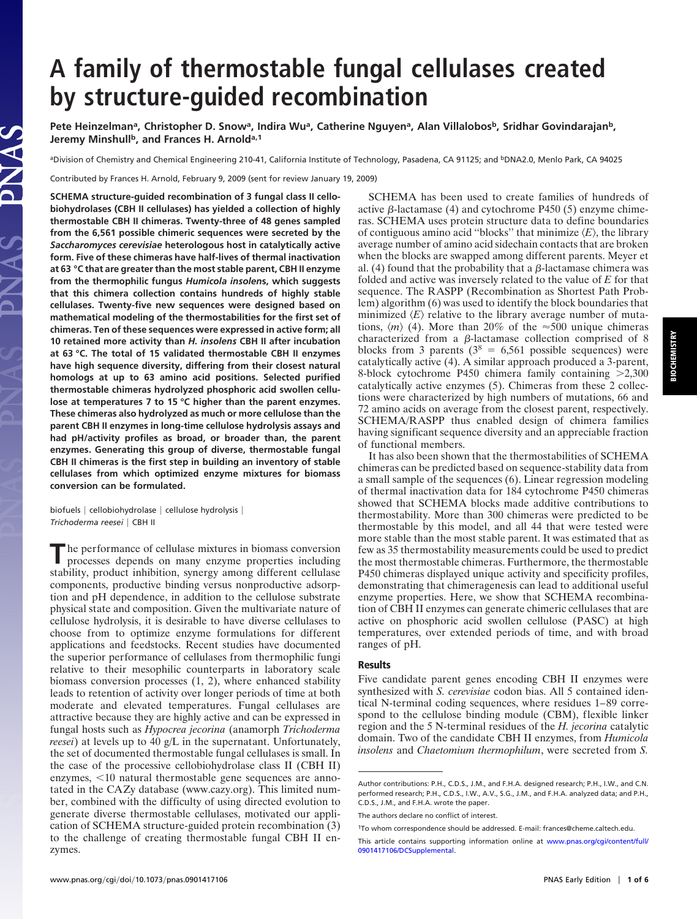# **A family of thermostable fungal cellulases created by structure-guided recombination**

Pete Heinzelman<sup>a</sup>, Christopher D. Snow<sup>a</sup>, Indira Wu<sup>a</sup>, Catherine Nguyen<sup>a</sup>, Alan Villalobos<sup>b</sup>, Sridhar Govindarajan<sup>b</sup>, Jeremy Minshull<sup>b</sup>, and Frances H. Arnold<sup>a,1</sup>

aDivision of Chemistry and Chemical Engineering 210-41, California Institute of Technology, Pasadena, CA 91125; and <sup>b</sup>DNA2.0, Menlo Park, CA 94025

Contributed by Frances H. Arnold, February 9, 2009 (sent for review January 19, 2009)

**SCHEMA structure-guided recombination of 3 fungal class II cellobiohydrolases (CBH II cellulases) has yielded a collection of highly thermostable CBH II chimeras. Twenty-three of 48 genes sampled from the 6,561 possible chimeric sequences were secreted by the** *Saccharomyces cerevisiae* **heterologous host in catalytically active form. Five of these chimeras have half-lives of thermal inactivation at 63 °C that are greater than the most stable parent, CBH II enzyme from the thermophilic fungus** *Humicola insolen***s, which suggests that this chimera collection contains hundreds of highly stable cellulases. Twenty-five new sequences were designed based on mathematical modeling of the thermostabilities for the first set of chimeras. Ten of these sequences were expressed in active form; all 10 retained more activity than** *H. insolens* **CBH II after incubation at 63 °C. The total of 15 validated thermostable CBH II enzymes have high sequence diversity, differing from their closest natural homologs at up to 63 amino acid positions. Selected purified thermostable chimeras hydrolyzed phosphoric acid swollen cellulose at temperatures 7 to 15 °C higher than the parent enzymes. These chimeras also hydrolyzed as much or more cellulose than the parent CBH II enzymes in long-time cellulose hydrolysis assays and had pH/activity profiles as broad, or broader than, the parent enzymes. Generating this group of diverse, thermostable fungal CBH II chimeras is the first step in building an inventory of stable cellulases from which optimized enzyme mixtures for biomass conversion can be formulated.**

biofuels | cellobiohydrolase | cellulose hydrolysis | *Trichoderma reesei* CBH II

**T**he performance of cellulase mixtures in biomass conversion processes depends on many enzyme properties including stability, product inhibition, synergy among different cellulase components, productive binding versus nonproductive adsorption and pH dependence, in addition to the cellulose substrate physical state and composition. Given the multivariate nature of cellulose hydrolysis, it is desirable to have diverse cellulases to choose from to optimize enzyme formulations for different applications and feedstocks. Recent studies have documented the superior performance of cellulases from thermophilic fungi relative to their mesophilic counterparts in laboratory scale biomass conversion processes (1, 2), where enhanced stability leads to retention of activity over longer periods of time at both moderate and elevated temperatures. Fungal cellulases are attractive because they are highly active and can be expressed in fungal hosts such as *Hypocrea jecorina* (anamorph *Trichoderma reesei*) at levels up to 40 g/L in the supernatant. Unfortunately, the set of documented thermostable fungal cellulases is small. In the case of the processive cellobiohydrolase class II (CBH II) enzymes,  $<$ 10 natural thermostable gene sequences are annotated in the CAZy database (www.cazy.org). This limited number, combined with the difficulty of using directed evolution to generate diverse thermostable cellulases, motivated our application of SCHEMA structure-guided protein recombination (3) to the challenge of creating thermostable fungal CBH II enzymes.

SCHEMA has been used to create families of hundreds of active  $\beta$ -lactamase (4) and cytochrome P450 (5) enzyme chimeras. SCHEMA uses protein structure data to define boundaries of contiguous amino acid "blocks" that minimize  $\langle E \rangle$ , the library average number of amino acid sidechain contacts that are broken when the blocks are swapped among different parents. Meyer et al. (4) found that the probability that a  $\beta$ -lactamase chimera was folded and active was inversely related to the value of *E* for that sequence. The RASPP (Recombination as Shortest Path Problem) algorithm (6) was used to identify the block boundaries that minimized  $\langle E \rangle$  relative to the library average number of mutations,  $\langle m \rangle$  (4). More than 20% of the  $\approx$ 500 unique chimeras characterized from a  $\beta$ -lactamase collection comprised of 8 blocks from 3 parents ( $3^8 = 6,561$  possible sequences) were catalytically active (4). A similar approach produced a 3-parent, 8-block cytochrome P450 chimera family containing  $>2,300$ catalytically active enzymes (5). Chimeras from these 2 collections were characterized by high numbers of mutations, 66 and 72 amino acids on average from the closest parent, respectively. SCHEMA/RASPP thus enabled design of chimera families having significant sequence diversity and an appreciable fraction of functional members.

It has also been shown that the thermostabilities of SCHEMA chimeras can be predicted based on sequence-stability data from a small sample of the sequences (6). Linear regression modeling of thermal inactivation data for 184 cytochrome P450 chimeras showed that SCHEMA blocks made additive contributions to thermostability. More than 300 chimeras were predicted to be thermostable by this model, and all 44 that were tested were more stable than the most stable parent. It was estimated that as few as 35 thermostability measurements could be used to predict the most thermostable chimeras. Furthermore, the thermostable P450 chimeras displayed unique activity and specificity profiles, demonstrating that chimeragenesis can lead to additional useful enzyme properties. Here, we show that SCHEMA recombination of CBH II enzymes can generate chimeric cellulases that are active on phosphoric acid swollen cellulose (PASC) at high temperatures, over extended periods of time, and with broad ranges of pH.

## **Results**

Five candidate parent genes encoding CBH II enzymes were synthesized with *S. cerevisiae* codon bias. All 5 contained identical N-terminal coding sequences, where residues 1–89 correspond to the cellulose binding module (CBM), flexible linker region and the 5 N-terminal residues of the *H. jecorina* catalytic domain. Two of the candidate CBH II enzymes, from *Humicola insolens* and *Chaetomium thermophilum*, were secreted from *S.*

Author contributions: P.H., C.D.S., J.M., and F.H.A. designed research; P.H., I.W., and C.N. performed research; P.H., C.D.S., I.W., A.V., S.G., J.M., and F.H.A. analyzed data; and P.H., C.D.S., J.M., and F.H.A. wrote the paper.

The authors declare no conflict of interest.

<sup>1</sup>To whom correspondence should be addressed. E-mail: frances@cheme.caltech.edu.

This article contains supporting information online at [www.pnas.org/cgi/content/full/](http://www.pnas.org/cgi/content/full/0901417106/DCSupplemental) [0901417106/DCSupplemental.](http://www.pnas.org/cgi/content/full/0901417106/DCSupplemental)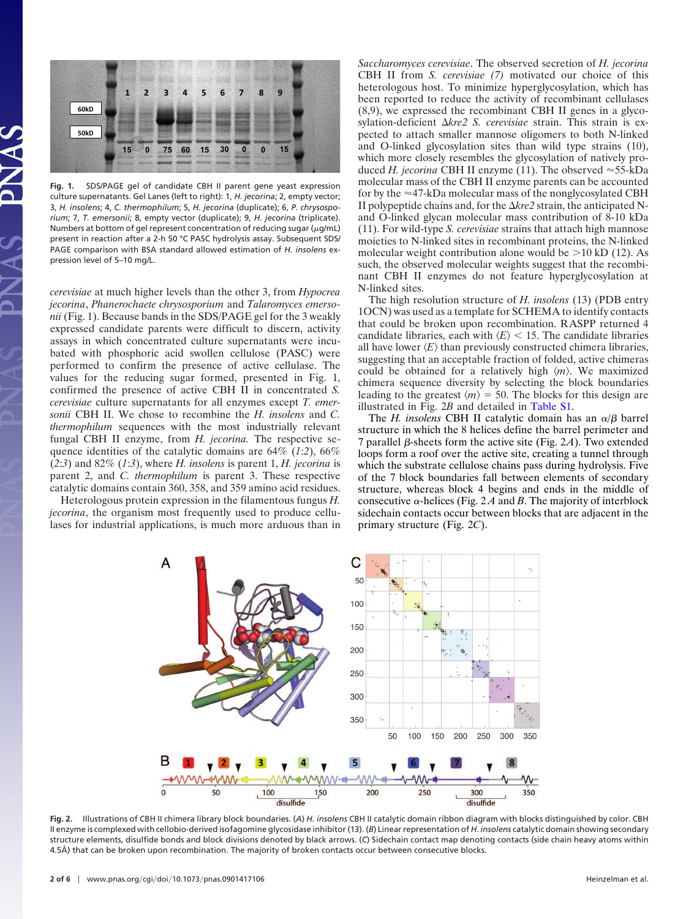

**Fig. 1.** SDS/PAGE gel of candidate CBH II parent gene yeast expression culture supernatants. Gel Lanes (left to right): 1, *H. jecorina*; 2, empty vector; 3, *H. insolens*; 4, *C. thermophilum*; 5, *H. jecorina* (duplicate); 6, *P. chrysosporium*; 7, *T. emersonii*; 8, empty vector (duplicate); 9, *H. jecorina* (triplicate). Numbers at bottom of gel represent concentration of reducing sugar ( $\mu$ g/mL) present in reaction after a 2-h 50 °C PASC hydrolysis assay. Subsequent SDS/ PAGE comparison with BSA standard allowed estimation of *H. insolens* expression level of 5–10 mg/L.

*cerevisiae* at much higher levels than the other 3, from *Hypocrea jecorina*, *Phanerochaete chrysosporium* and *Talaromyces emersonii* (Fig. 1). Because bands in the SDS/PAGE gel for the 3 weakly expressed candidate parents were difficult to discern, activity assays in which concentrated culture supernatants were incubated with phosphoric acid swollen cellulose (PASC) were performed to confirm the presence of active cellulase. The values for the reducing sugar formed, presented in Fig. 1, confirmed the presence of active CBH II in concentrated *S. cerevisiae* culture supernatants for all enzymes except *T. emersonii* CBH II. We chose to recombine the *H. insolens* and *C. thermophilum* sequences with the most industrially relevant fungal CBH II enzyme, from *H. jecorina.* The respective sequence identities of the catalytic domains are 64% (*1*:*2*), 66% (*2*:*3*) and 82% (*1*:*3*), where *H. insolens* is parent 1, *H. jecorina* is parent 2, and *C. thermophilum* is parent 3. These respective catalytic domains contain 360, 358, and 359 amino acid residues.

Heterologous protein expression in the filamentous fungus *H. jecorina*, the organism most frequently used to produce cellulases for industrial applications, is much more arduous than in *Saccharomyces cerevisiae*. The observed secretion of *H. jecorina* CBH II from *S. cerevisiae (7)* motivated our choice of this heterologous host. To minimize hyperglycosylation, which has been reported to reduce the activity of recombinant cellulases (8,9), we expressed the recombinant CBH II genes in a glycosylation-deficient  $\Delta kre2$  S. cerevisiae strain. This strain is expected to attach smaller mannose oligomers to both N-linked and O-linked glycosylation sites than wild type strains (10), which more closely resembles the glycosylation of natively produced *H. jecorina* CBH II enzyme (11). The observed  $\approx$  55-kDa molecular mass of the CBH II enzyme parents can be accounted for by the  $\approx$ 47-kDa molecular mass of the nonglycosylated CBH II polypeptide chains and, for the  $\Delta kre^2$  strain, the anticipated Nand O-linked glycan molecular mass contribution of 8-10 kDa (11). For wild-type *S. cerevisiae* strains that attach high mannose moieties to N-linked sites in recombinant proteins, the N-linked molecular weight contribution alone would be  $>10$  kD (12). As such, the observed molecular weights suggest that the recombinant CBH II enzymes do not feature hyperglycosylation at N-linked sites.

The high resolution structure of *H. insolens* (13) (PDB entry 1OCN) was used as a template for SCHEMA to identify contacts that could be broken upon recombination. RASPP returned 4 candidate libraries, each with  $\langle E \rangle$  < 15. The candidate libraries all have lower  $\langle E \rangle$  than previously constructed chimera libraries, suggesting that an acceptable fraction of folded, active chimeras could be obtained for a relatively high  $\langle m \rangle$ . We maximized chimera sequence diversity by selecting the block boundaries leading to the greatest  $\langle m \rangle = 50$ . The blocks for this design are illustrated in Fig. 2*B* and detailed in [Table S1.](http://www.pnas.org/cgi/data/0901417106/DCSupplemental/ST1_PDF)

The *H. insolens* CBH II catalytic domain has an  $\alpha/\beta$  barrel structure in which the 8 helices define the barrel perimeter and 7 parallel  $\beta$ -sheets form the active site (Fig. 2A). Two extended loops form a roof over the active site, creating a tunnel through which the substrate cellulose chains pass during hydrolysis. Five of the 7 block boundaries fall between elements of secondary structure, whereas block 4 begins and ends in the middle of consecutive  $\alpha$ -helices (Fig. 2A and B. The majority of interblock sidechain contacts occur between blocks that are adjacent in the primary structure (Fig. 2*C*).



**Fig. 2.** Illustrations of CBH II chimera library block boundaries. (*A*) *H. insolens* CBH II catalytic domain ribbon diagram with blocks distinguished by color. CBH II enzyme is complexed with cellobio-derived isofagomine glycosidase inhibitor (13). (*B*) Linear representation of *H. insolens* catalytic domain showing secondary structure elements, disulfide bonds and block divisions denoted by black arrows. (*C*) Sidechain contact map denoting contacts (side chain heavy atoms within 4.5Å) that can be broken upon recombination. The majority of broken contacts occur between consecutive blocks.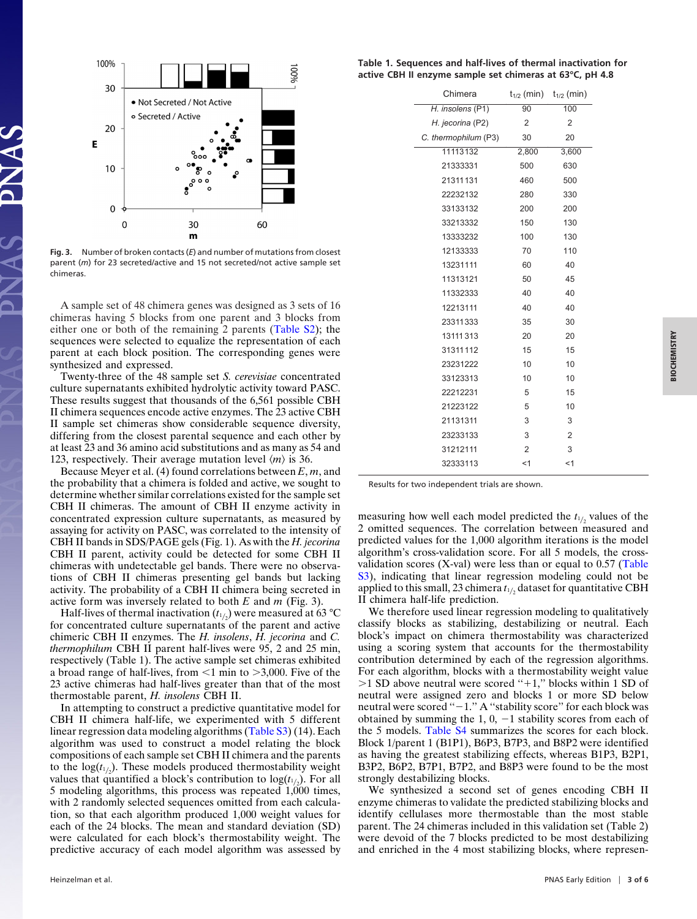

**Fig. 3.** Number of broken contacts (*E*) and number of mutations from closest parent (*m*) for 23 secreted/active and 15 not secreted/not active sample set chimeras.

A sample set of 48 chimera genes was designed as 3 sets of 16 chimeras having 5 blocks from one parent and 3 blocks from either one or both of the remaining 2 parents [\(Table S2\)](http://www.pnas.org/cgi/data/0901417106/DCSupplemental/ST2_PDF); the sequences were selected to equalize the representation of each parent at each block position. The corresponding genes were synthesized and expressed.

Twenty-three of the 48 sample set *S. cerevisiae* concentrated culture supernatants exhibited hydrolytic activity toward PASC. These results suggest that thousands of the 6,561 possible CBH II chimera sequences encode active enzymes. The 23 active CBH II sample set chimeras show considerable sequence diversity, differing from the closest parental sequence and each other by at least 23 and 36 amino acid substitutions and as many as 54 and 123, respectively. Their average mutation level  $\langle m \rangle$  is 36.

Because Meyer et al. (4) found correlations between *E*, *m*, and the probability that a chimera is folded and active, we sought to determine whether similar correlations existed for the sample set CBH II chimeras. The amount of CBH II enzyme activity in concentrated expression culture supernatants, as measured by assaying for activity on PASC, was correlated to the intensity of CBH II bands in SDS/PAGE gels (Fig. 1). As with the *H. jecorina* CBH II parent, activity could be detected for some CBH II chimeras with undetectable gel bands. There were no observations of CBH II chimeras presenting gel bands but lacking activity. The probability of a CBH II chimera being secreted in active form was inversely related to both *E* and *m* (Fig. 3).

Half-lives of thermal inactivation  $(t_{1/2})$  were measured at 63 °C for concentrated culture supernatants of the parent and active chimeric CBH II enzymes. The *H. insolens*, *H. jecorina* and *C. thermophilum* CBH II parent half-lives were 95, 2 and 25 min, respectively (Table 1). The active sample set chimeras exhibited a broad range of half-lives, from  $\leq 1$  min to  $>3,000$ . Five of the 23 active chimeras had half-lives greater than that of the most thermostable parent, *H. insolens* CBH II.

In attempting to construct a predictive quantitative model for CBH II chimera half-life, we experimented with 5 different linear regression data modeling algorithms [\(Table S3\)](http://www.pnas.org/cgi/data/0901417106/DCSupplemental/ST3_PDF) (14). Each algorithm was used to construct a model relating the block compositions of each sample set CBH II chimera and the parents to the  $log(t_{1/2})$ . These models produced thermostability weight values that quantified a block's contribution to  $log(t_{1/2})$ . For all 5 modeling algorithms, this process was repeated 1,000 times, with 2 randomly selected sequences omitted from each calculation, so that each algorithm produced 1,000 weight values for each of the 24 blocks. The mean and standard deviation (SD) were calculated for each block's thermostability weight. The predictive accuracy of each model algorithm was assessed by

**Table 1. Sequences and half-lives of thermal inactivation for active CBH II enzyme sample set chimeras at 63°C, pH 4.8**

| Chimera              |                | $t_{1/2}$ (min) $t_{1/2}$ (min) |
|----------------------|----------------|---------------------------------|
| H. insolens (P1)     | 90             | 100                             |
| H. jecorina (P2)     | $\overline{2}$ | $\overline{2}$                  |
| C. thermophilum (P3) | 30             | 20                              |
| 11113132             | 2,800          | 3,600                           |
| 21333331             | 500            | 630                             |
| 21311131             | 460            | 500                             |
| 22232132             | 280            | 330                             |
| 33133132             | 200            | 200                             |
| 33213332             | 150            | 130                             |
| 13333232             | 100            | 130                             |
| 12133333             | 70             | 110                             |
| 13231111             | 60             | 40                              |
| 11313121             | 50             | 45                              |
| 11332333             | 40             | 40                              |
| 12213111             | 40             | 40                              |
| 23311333             | 35             | 30                              |
| 13111313             | 20             | 20                              |
| 31311112             | 15             | 15                              |
| 23231222             | 10             | 10                              |
| 33123313             | 10             | 10                              |
| 22212231             | 5              | 15                              |
| 21223122             | 5              | 10                              |
| 21131311             | 3              | 3                               |
| 23233133             | 3              | 2                               |
| 31212111             | $\overline{2}$ | 3                               |
| 32333113             | <1             | <1                              |
|                      |                |                                 |

Results for two independent trials are shown.

measuring how well each model predicted the  $t_{1/2}$  values of the 2 omitted sequences. The correlation between measured and predicted values for the 1,000 algorithm iterations is the model algorithm's cross-validation score. For all 5 models, the crossvalidation scores (X-val) were less than or equal to 0.57 [\(Table](http://www.pnas.org/cgi/data/0901417106/DCSupplemental/ST3_PDF) [S3\)](http://www.pnas.org/cgi/data/0901417106/DCSupplemental/ST3_PDF), indicating that linear regression modeling could not be applied to this small, 23 chimera  $t_{1/2}$  dataset for quantitative CBH II chimera half-life prediction.

We therefore used linear regression modeling to qualitatively classify blocks as stabilizing, destabilizing or neutral. Each block's impact on chimera thermostability was characterized using a scoring system that accounts for the thermostability contribution determined by each of the regression algorithms. For each algorithm, blocks with a thermostability weight value  $>1$  SD above neutral were scored "+1," blocks within 1 SD of neutral were assigned zero and blocks 1 or more SD below neutral were scored " $-1$ ." A "stability score" for each block was obtained by summing the 1, 0,  $-1$  stability scores from each of the 5 models. [Table S4](http://www.pnas.org/cgi/data/0901417106/DCSupplemental/ST4_PDF) summarizes the scores for each block. Block 1/parent 1 (B1P1), B6P3, B7P3, and B8P2 were identified as having the greatest stabilizing effects, whereas B1P3, B2P1, B3P2, B6P2, B7P1, B7P2, and B8P3 were found to be the most strongly destabilizing blocks.

We synthesized a second set of genes encoding CBH II enzyme chimeras to validate the predicted stabilizing blocks and identify cellulases more thermostable than the most stable parent. The 24 chimeras included in this validation set (Table 2) were devoid of the 7 blocks predicted to be most destabilizing and enriched in the 4 most stabilizing blocks, where represen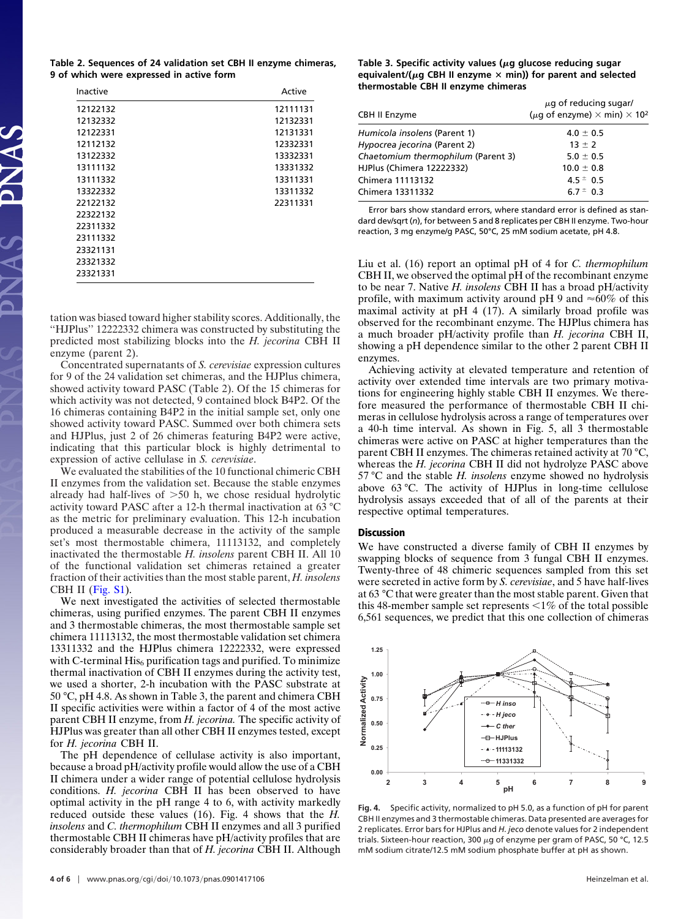**Table 2. Sequences of 24 validation set CBH II enzyme chimeras, 9 of which were expressed in active form**

| 12122132 | 12111131 |
|----------|----------|
|          |          |
| 12132332 | 12132331 |
| 12122331 | 12131331 |
| 12112132 | 12332331 |
| 13122332 | 13332331 |
| 13111132 | 13331332 |
| 13111332 | 13311331 |
| 13322332 | 13311332 |
| 22122132 | 22311331 |
| 22322132 |          |
| 22311332 |          |
| 23111332 |          |
| 23321131 |          |
| 23321332 |          |
| 23321331 |          |

tation was biased toward higher stability scores. Additionally, the ''HJPlus'' 12222332 chimera was constructed by substituting the predicted most stabilizing blocks into the *H. jecorina* CBH II enzyme (parent 2).

Concentrated supernatants of *S. cerevisiae* expression cultures for 9 of the 24 validation set chimeras, and the HJPlus chimera, showed activity toward PASC (Table 2). Of the 15 chimeras for which activity was not detected, 9 contained block B4P2. Of the 16 chimeras containing B4P2 in the initial sample set, only one showed activity toward PASC. Summed over both chimera sets and HJPlus, just 2 of 26 chimeras featuring B4P2 were active, indicating that this particular block is highly detrimental to expression of active cellulase in *S. cerevisiae*.

We evaluated the stabilities of the 10 functional chimeric CBH II enzymes from the validation set. Because the stable enzymes already had half-lives of  $>50$  h, we chose residual hydrolytic activity toward PASC after a 12-h thermal inactivation at 63 °C as the metric for preliminary evaluation. This 12-h incubation produced a measurable decrease in the activity of the sample set's most thermostable chimera, 11113132, and completely inactivated the thermostable *H. insolens* parent CBH II. All 10 of the functional validation set chimeras retained a greater fraction of their activities than the most stable parent, *H. insolens* CBH II (Fig.  $S1$ ).

We next investigated the activities of selected thermostable chimeras, using purified enzymes. The parent CBH II enzymes and 3 thermostable chimeras, the most thermostable sample set chimera 11113132, the most thermostable validation set chimera 13311332 and the HJPlus chimera 12222332, were expressed with C-terminal  $His<sub>6</sub>$  purification tags and purified. To minimize thermal inactivation of CBH II enzymes during the activity test, we used a shorter, 2-h incubation with the PASC substrate at 50 °C, pH 4.8. As shown in Table 3, the parent and chimera CBH II specific activities were within a factor of 4 of the most active parent CBH II enzyme, from *H. jecorina.* The specific activity of HJPlus was greater than all other CBH II enzymes tested, except for *H. jecorina* CBH II.

The pH dependence of cellulase activity is also important, because a broad pH/activity profile would allow the use of a CBH II chimera under a wider range of potential cellulose hydrolysis conditions. *H. jecorina* CBH II has been observed to have optimal activity in the pH range 4 to 6, with activity markedly reduced outside these values (16). Fig. 4 shows that the *H. insolens* and *C. thermophilum* CBH II enzymes and all 3 purified thermostable CBH II chimeras have pH/activity profiles that are considerably broader than that of *H. jecorina* CBH II. Although

# Table 3. Specific activity values ( $\mu$ g glucose reducing sugar equivalent/( $\mu$ g CBH II enzyme  $\times$  min)) for parent and selected **thermostable CBH II enzyme chimeras**

| CBH II Enzyme                      | $\mu$ g of reducing sugar/<br>( $\mu$ g of enzyme) $\times$ min) $\times$ 10 <sup>2</sup> |
|------------------------------------|-------------------------------------------------------------------------------------------|
| Humicola insolens (Parent 1)       | $4.0 \pm 0.5$                                                                             |
| Hypocrea jecorina (Parent 2)       | $13 \pm 2$                                                                                |
| Chaetomium thermophilum (Parent 3) | $5.0 \pm 0.5$                                                                             |
| HJPlus (Chimera 12222332)          | $10.0 \pm 0.8$                                                                            |
| Chimera 11113132                   | $4.5 \pm 0.5$                                                                             |
| Chimera 13311332                   | $6.7 \pm 0.3$                                                                             |

Error bars show standard errors, where standard error is defined as standard dev/sqrt (*n*), for between 5 and 8 replicates per CBH II enzyme. Two-hour reaction, 3 mg enzyme/g PASC, 50°C, 25 mM sodium acetate, pH 4.8.

Liu et al. (16) report an optimal pH of 4 for *C. thermophilum* CBH II, we observed the optimal pH of the recombinant enzyme to be near 7. Native *H. insolens* CBH II has a broad pH/activity profile, with maximum activity around pH 9 and  $\approx 60\%$  of this maximal activity at pH 4 (17). A similarly broad profile was observed for the recombinant enzyme. The HJPlus chimera has a much broader pH/activity profile than *H. jecorina* CBH II, showing a pH dependence similar to the other 2 parent CBH II enzymes.

Achieving activity at elevated temperature and retention of activity over extended time intervals are two primary motivations for engineering highly stable CBH II enzymes. We therefore measured the performance of thermostable CBH II chimeras in cellulose hydrolysis across a range of temperatures over a 40-h time interval. As shown in Fig. 5, all 3 thermostable chimeras were active on PASC at higher temperatures than the parent CBH II enzymes. The chimeras retained activity at 70 °C, whereas the *H. jecorina* CBH II did not hydrolyze PASC above 57 °C and the stable *H. insolens* enzyme showed no hydrolysis above 63 °C. The activity of HJPlus in long-time cellulose hydrolysis assays exceeded that of all of the parents at their respective optimal temperatures.

#### **Discussion**

We have constructed a diverse family of CBH II enzymes by swapping blocks of sequence from 3 fungal CBH II enzymes. Twenty-three of 48 chimeric sequences sampled from this set were secreted in active form by *S. cerevisiae*, and 5 have half-lives at 63 °C that were greater than the most stable parent. Given that this 48-member sample set represents  $\leq 1\%$  of the total possible 6,561 sequences, we predict that this one collection of chimeras



**Fig. 4.** Specific activity, normalized to pH 5.0, as a function of pH for parent CBH II enzymes and 3 thermostable chimeras. Data presented are averages for 2 replicates. Error bars for HJPlus and *H. jeco* denote values for 2 independent trials. Sixteen-hour reaction, 300  $\mu$ g of enzyme per gram of PASC, 50 °C, 12.5 mM sodium citrate/12.5 mM sodium phosphate buffer at pH as shown.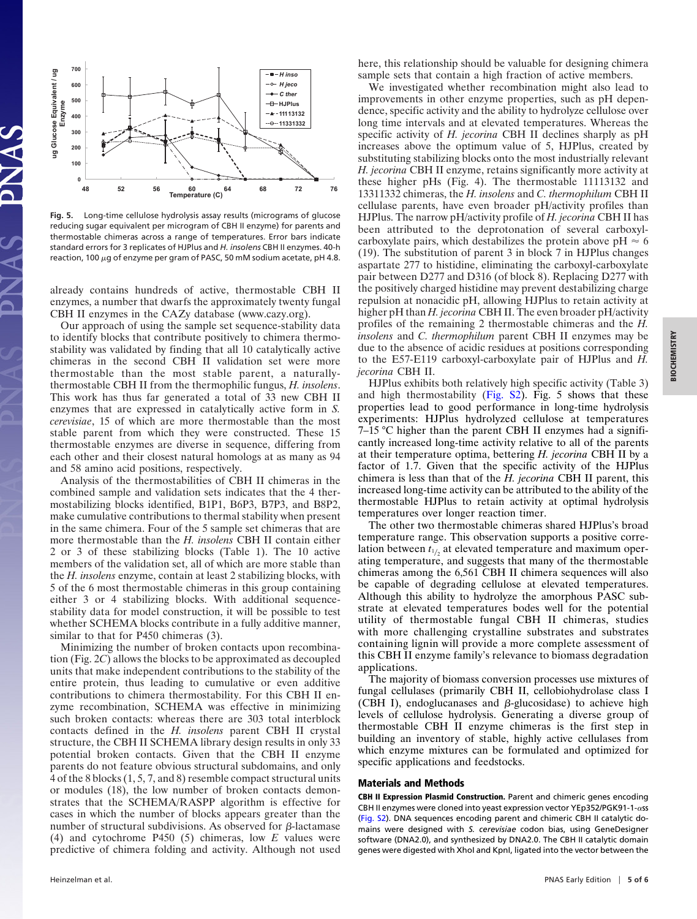

**Fig. 5.** Long-time cellulose hydrolysis assay results (micrograms of glucose reducing sugar equivalent per microgram of CBH II enzyme) for parents and thermostable chimeras across a range of temperatures. Error bars indicate standard errors for 3 replicates of HJPlus and *H. insolens* CBH II enzymes. 40-h reaction, 100  $\mu$ g of enzyme per gram of PASC, 50 mM sodium acetate, pH 4.8.

already contains hundreds of active, thermostable CBH II enzymes, a number that dwarfs the approximately twenty fungal CBH II enzymes in the CAZy database (www.cazy.org).

Our approach of using the sample set sequence-stability data to identify blocks that contribute positively to chimera thermostability was validated by finding that all 10 catalytically active chimeras in the second CBH II validation set were more thermostable than the most stable parent, a naturallythermostable CBH II from the thermophilic fungus, *H. insolens*. This work has thus far generated a total of 33 new CBH II enzymes that are expressed in catalytically active form in *S. cerevisiae*, 15 of which are more thermostable than the most stable parent from which they were constructed. These 15 thermostable enzymes are diverse in sequence, differing from each other and their closest natural homologs at as many as 94 and 58 amino acid positions, respectively.

Analysis of the thermostabilities of CBH II chimeras in the combined sample and validation sets indicates that the 4 thermostabilizing blocks identified, B1P1, B6P3, B7P3, and B8P2, make cumulative contributions to thermal stability when present in the same chimera. Four of the 5 sample set chimeras that are more thermostable than the *H. insolens* CBH II contain either 2 or 3 of these stabilizing blocks (Table 1). The 10 active members of the validation set, all of which are more stable than the *H. insolens* enzyme, contain at least 2 stabilizing blocks, with 5 of the 6 most thermostable chimeras in this group containing either 3 or 4 stabilizing blocks. With additional sequencestability data for model construction, it will be possible to test whether SCHEMA blocks contribute in a fully additive manner, similar to that for P450 chimeras (3).

Minimizing the number of broken contacts upon recombination (Fig. 2*C*) allows the blocks to be approximated as decoupled units that make independent contributions to the stability of the entire protein, thus leading to cumulative or even additive contributions to chimera thermostability. For this CBH II enzyme recombination, SCHEMA was effective in minimizing such broken contacts: whereas there are 303 total interblock contacts defined in the *H. insolens* parent CBH II crystal structure, the CBH II SCHEMA library design results in only 33 potential broken contacts. Given that the CBH II enzyme parents do not feature obvious structural subdomains, and only 4 of the 8 blocks (1, 5, 7, and 8) resemble compact structural units or modules (18), the low number of broken contacts demonstrates that the SCHEMA/RASPP algorithm is effective for cases in which the number of blocks appears greater than the number of structural subdivisions. As observed for  $\beta$ -lactamase (4) and cytochrome P450 (5) chimeras, low *E* values were predictive of chimera folding and activity. Although not used

here, this relationship should be valuable for designing chimera sample sets that contain a high fraction of active members.

We investigated whether recombination might also lead to improvements in other enzyme properties, such as pH dependence, specific activity and the ability to hydrolyze cellulose over long time intervals and at elevated temperatures. Whereas the specific activity of *H. jecorina* CBH II declines sharply as pH increases above the optimum value of 5, HJPlus, created by substituting stabilizing blocks onto the most industrially relevant *H. jecorina* CBH II enzyme, retains significantly more activity at these higher pHs (Fig. 4). The thermostable 11113132 and 13311332 chimeras, the *H. insolens* and *C. thermophilum* CBH II cellulase parents, have even broader pH/activity profiles than HJPlus. The narrow pH/activity profile of *H. jecorina* CBH II has been attributed to the deprotonation of several carboxylcarboxylate pairs, which destabilizes the protein above  $pH \approx 6$ (19). The substitution of parent 3 in block 7 in HJPlus changes aspartate 277 to histidine, eliminating the carboxyl-carboxylate pair between D277 and D316 (of block 8). Replacing D277 with the positively charged histidine may prevent destabilizing charge repulsion at nonacidic pH, allowing HJPlus to retain activity at higher pH than *H. jecorina* CBH II. The even broader pH/activity profiles of the remaining 2 thermostable chimeras and the *H. insolens* and *C. thermophilum* parent CBH II enzymes may be due to the absence of acidic residues at positions corresponding to the E57-E119 carboxyl-carboxylate pair of HJPlus and *H. jecorina* CBH II.

HJPlus exhibits both relatively high specific activity (Table 3) and high thermostability (Fig.  $S_2$ ). Fig. 5 shows that these properties lead to good performance in long-time hydrolysis experiments: HJPlus hydrolyzed cellulose at temperatures 7–15 °C higher than the parent CBH II enzymes had a significantly increased long-time activity relative to all of the parents at their temperature optima, bettering *H. jecorina* CBH II by a factor of 1.7. Given that the specific activity of the HJPlus chimera is less than that of the *H. jecorina* CBH II parent, this increased long-time activity can be attributed to the ability of the thermostable HJPlus to retain activity at optimal hydrolysis temperatures over longer reaction timer.

The other two thermostable chimeras shared HJPlus's broad temperature range. This observation supports a positive correlation between  $t_{1/2}$  at elevated temperature and maximum operating temperature, and suggests that many of the thermostable chimeras among the 6,561 CBH II chimera sequences will also be capable of degrading cellulose at elevated temperatures. Although this ability to hydrolyze the amorphous PASC substrate at elevated temperatures bodes well for the potential utility of thermostable fungal CBH II chimeras, studies with more challenging crystalline substrates and substrates containing lignin will provide a more complete assessment of this CBH II enzyme family's relevance to biomass degradation applications.

The majority of biomass conversion processes use mixtures of fungal cellulases (primarily CBH II, cellobiohydrolase class I (CBH I), endoglucanases and  $\beta$ -glucosidase) to achieve high levels of cellulose hydrolysis. Generating a diverse group of thermostable CBH II enzyme chimeras is the first step in building an inventory of stable, highly active cellulases from which enzyme mixtures can be formulated and optimized for specific applications and feedstocks.

## **Materials and Methods**

**CBH II Expression Plasmid Construction.** Parent and chimeric genes encoding CBH II enzymes were cloned into yeast expression vector YEp352/PGK91-1- $\alpha$ ss [\(Fig. S2\)](http://www.pnas.org/cgi/data/0901417106/DCSupplemental/Supplemental_PDF#nameddest=SF2). DNA sequences encoding parent and chimeric CBH II catalytic domains were designed with *S. cerevisiae* codon bias, using GeneDesigner software (DNA2.0), and synthesized by DNA2.0. The CBH II catalytic domain genes were digested with XhoI and KpnI, ligated into the vector between the